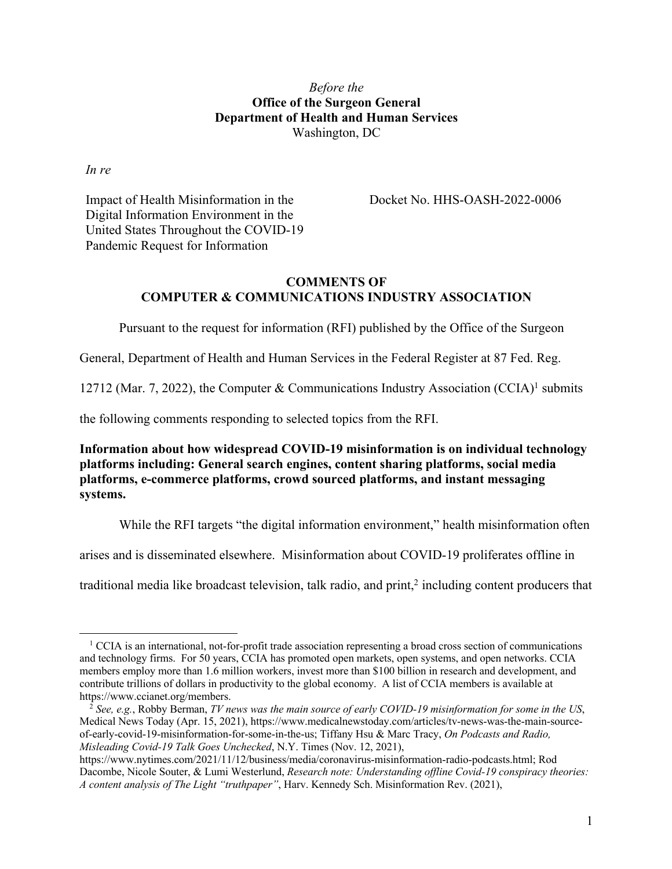## *Before the* **Office of the Surgeon General Department of Health and Human Services** Washington, DC

*In re*

Impact of Health Misinformation in the Digital Information Environment in the United States Throughout the COVID-19 Pandemic Request for Information

Docket No. HHS-OASH-2022-0006

## **COMMENTS OF COMPUTER & COMMUNICATIONS INDUSTRY ASSOCIATION**

Pursuant to the request for information (RFI) published by the Office of the Surgeon

General, Department of Health and Human Services in the Federal Register at 87 Fed. Reg.

12712 (Mar. 7, 2022), the Computer & Communications Industry Association (CCIA)<sup>1</sup> submits

the following comments responding to selected topics from the RFI.

**Information about how widespread COVID-19 misinformation is on individual technology platforms including: General search engines, content sharing platforms, social media platforms, e-commerce platforms, crowd sourced platforms, and instant messaging systems.**

While the RFI targets "the digital information environment," health misinformation often

arises and is disseminated elsewhere. Misinformation about COVID-19 proliferates offline in

traditional media like broadcast television, talk radio, and print, $\frac{2}{3}$  including content producers that

<sup>&</sup>lt;sup>1</sup> CCIA is an international, not-for-profit trade association representing a broad cross section of communications and technology firms. For 50 years, CCIA has promoted open markets, open systems, and open networks. CCIA members employ more than 1.6 million workers, invest more than \$100 billion in research and development, and contribute trillions of dollars in productivity to the global economy. A list of CCIA members is available at https://www.ccianet.org/members.

<sup>2</sup> *See, e.g.*, Robby Berman, *TV news was the main source of early COVID-19 misinformation for some in the US*, Medical News Today (Apr. 15, 2021), https://www.medicalnewstoday.com/articles/tv-news-was-the-main-sourceof-early-covid-19-misinformation-for-some-in-the-us; Tiffany Hsu & Marc Tracy, *On Podcasts and Radio, Misleading Covid-19 Talk Goes Unchecked*, N.Y. Times (Nov. 12, 2021),

https://www.nytimes.com/2021/11/12/business/media/coronavirus-misinformation-radio-podcasts.html; Rod Dacombe, Nicole Souter, & Lumi Westerlund, *Research note: Understanding offline Covid-19 conspiracy theories: A content analysis of The Light "truthpaper"*, Harv. Kennedy Sch. Misinformation Rev. (2021),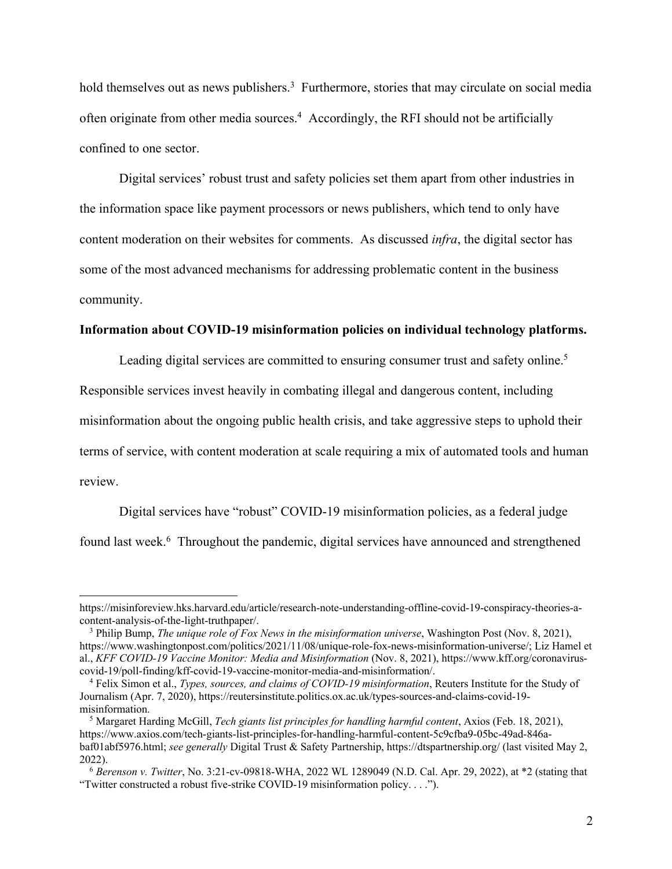hold themselves out as news publishers.<sup>3</sup> Furthermore, stories that may circulate on social media often originate from other media sources.<sup>4</sup> Accordingly, the RFI should not be artificially confined to one sector.

Digital services' robust trust and safety policies set them apart from other industries in the information space like payment processors or news publishers, which tend to only have content moderation on their websites for comments. As discussed *infra*, the digital sector has some of the most advanced mechanisms for addressing problematic content in the business community.

## **Information about COVID-19 misinformation policies on individual technology platforms.**

Leading digital services are committed to ensuring consumer trust and safety online.<sup>5</sup>

Responsible services invest heavily in combating illegal and dangerous content, including

misinformation about the ongoing public health crisis, and take aggressive steps to uphold their

terms of service, with content moderation at scale requiring a mix of automated tools and human review.

Digital services have "robust" COVID-19 misinformation policies, as a federal judge found last week.<sup>6</sup> Throughout the pandemic, digital services have announced and strengthened

https://misinforeview.hks.harvard.edu/article/research-note-understanding-offline-covid-19-conspiracy-theories-acontent-analysis-of-the-light-truthpaper/.

<sup>3</sup> Philip Bump, *The unique role of Fox News in the misinformation universe*, Washington Post (Nov. 8, 2021), https://www.washingtonpost.com/politics/2021/11/08/unique-role-fox-news-misinformation-universe/; Liz Hamel et al., *KFF COVID-19 Vaccine Monitor: Media and Misinformation* (Nov. 8, 2021), https://www.kff.org/coronaviruscovid-19/poll-finding/kff-covid-19-vaccine-monitor-media-and-misinformation/.

<sup>4</sup> Felix Simon et al., *Types, sources, and claims of COVID-19 misinformation*, Reuters Institute for the Study of Journalism (Apr. 7, 2020), https://reutersinstitute.politics.ox.ac.uk/types-sources-and-claims-covid-19 misinformation.

<sup>5</sup> Margaret Harding McGill, *Tech giants list principles for handling harmful content*, Axios (Feb. 18, 2021), https://www.axios.com/tech-giants-list-principles-for-handling-harmful-content-5c9cfba9-05bc-49ad-846abaf01abf5976.html; *see generally* Digital Trust & Safety Partnership, https://dtspartnership.org/ (last visited May 2, 2022).

<sup>6</sup> *Berenson v. Twitter*, No. 3:21-cv-09818-WHA, 2022 WL 1289049 (N.D. Cal. Apr. 29, 2022), at \*2 (stating that "Twitter constructed a robust five-strike COVID-19 misinformation policy. . . .").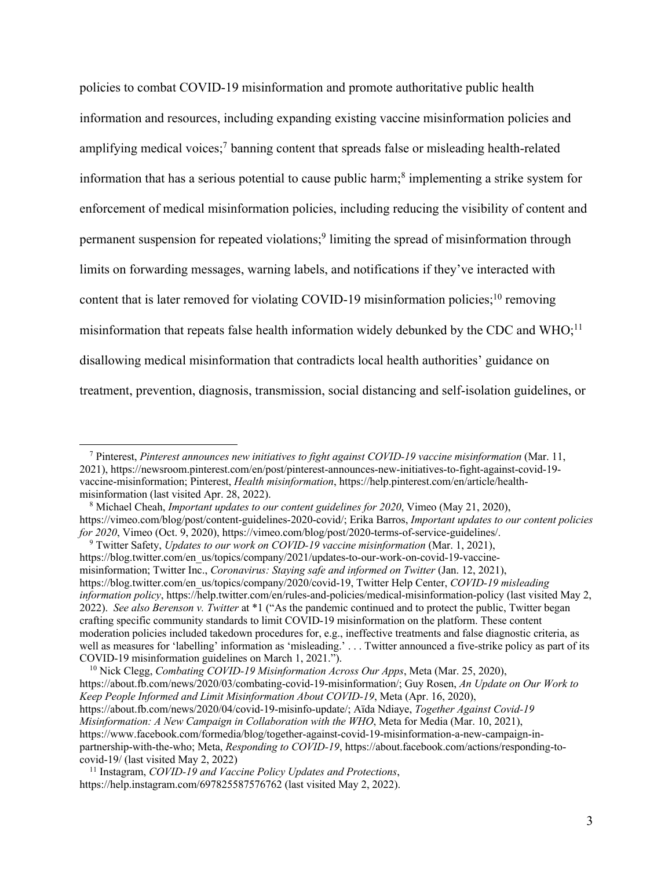policies to combat COVID-19 misinformation and promote authoritative public health information and resources, including expanding existing vaccine misinformation policies and amplifying medical voices;7 banning content that spreads false or misleading health-related information that has a serious potential to cause public harm;<sup>8</sup> implementing a strike system for enforcement of medical misinformation policies, including reducing the visibility of content and permanent suspension for repeated violations;9 limiting the spread of misinformation through limits on forwarding messages, warning labels, and notifications if they've interacted with content that is later removed for violating COVID-19 misinformation policies;<sup>10</sup> removing misinformation that repeats false health information widely debunked by the CDC and  $WHO<sup>11</sup>$ disallowing medical misinformation that contradicts local health authorities' guidance on treatment, prevention, diagnosis, transmission, social distancing and self-isolation guidelines, or

<sup>7</sup> Pinterest, *Pinterest announces new initiatives to fight against COVID-19 vaccine misinformation* (Mar. 11, 2021), https://newsroom.pinterest.com/en/post/pinterest-announces-new-initiatives-to-fight-against-covid-19 vaccine-misinformation; Pinterest, *Health misinformation*, https://help.pinterest.com/en/article/healthmisinformation (last visited Apr. 28, 2022).

<sup>8</sup> Michael Cheah, *Important updates to our content guidelines for 2020*, Vimeo (May 21, 2020), https://vimeo.com/blog/post/content-guidelines-2020-covid/; Erika Barros, *Important updates to our content policies for 2020*, Vimeo (Oct. 9, 2020), https://vimeo.com/blog/post/2020-terms-of-service-guidelines/.

<sup>9</sup> Twitter Safety, *Updates to our work on COVID-19 vaccine misinformation* (Mar. 1, 2021), https://blog.twitter.com/en\_us/topics/company/2021/updates-to-our-work-on-covid-19-vaccinemisinformation; Twitter Inc., *Coronavirus: Staying safe and informed on Twitter* (Jan. 12, 2021), https://blog.twitter.com/en\_us/topics/company/2020/covid-19, Twitter Help Center, *COVID-19 misleading information policy*, https://help.twitter.com/en/rules-and-policies/medical-misinformation-policy (last visited May 2, 2022). *See also Berenson v. Twitter* at \*1 ("As the pandemic continued and to protect the public, Twitter began crafting specific community standards to limit COVID-19 misinformation on the platform. These content moderation policies included takedown procedures for, e.g., ineffective treatments and false diagnostic criteria, as well as measures for 'labelling' information as 'misleading.' . . . Twitter announced a five-strike policy as part of its COVID-19 misinformation guidelines on March 1, 2021.").

<sup>10</sup> Nick Clegg, *Combating COVID-19 Misinformation Across Our Apps*, Meta (Mar. 25, 2020), https://about.fb.com/news/2020/03/combating-covid-19-misinformation/; Guy Rosen, *An Update on Our Work to Keep People Informed and Limit Misinformation About COVID-19*, Meta (Apr. 16, 2020), https://about.fb.com/news/2020/04/covid-19-misinfo-update/; Aïda Ndiaye, *Together Against Covid-19 Misinformation: A New Campaign in Collaboration with the WHO*, Meta for Media (Mar. 10, 2021), https://www.facebook.com/formedia/blog/together-against-covid-19-misinformation-a-new-campaign-inpartnership-with-the-who; Meta, *Responding to COVID-19*, https://about.facebook.com/actions/responding-tocovid-19/ (last visited May 2, 2022)

<sup>11</sup> Instagram, *COVID-19 and Vaccine Policy Updates and Protections*, https://help.instagram.com/697825587576762 (last visited May 2, 2022).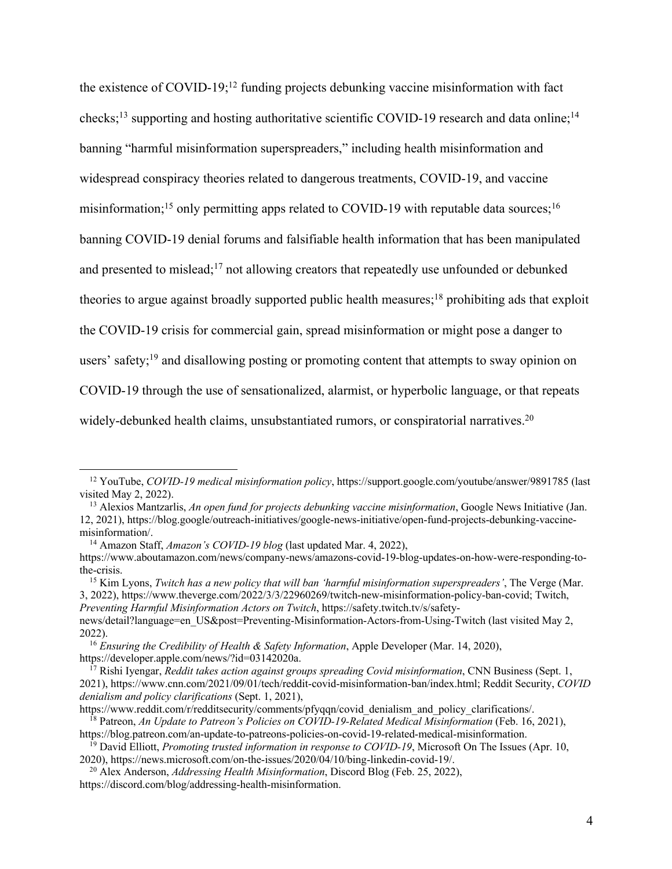the existence of COVID-19;<sup>12</sup> funding projects debunking vaccine misinformation with fact checks;<sup>13</sup> supporting and hosting authoritative scientific COVID-19 research and data online;<sup>14</sup> banning "harmful misinformation superspreaders," including health misinformation and widespread conspiracy theories related to dangerous treatments, COVID-19, and vaccine misinformation;<sup>15</sup> only permitting apps related to COVID-19 with reputable data sources;<sup>16</sup> banning COVID-19 denial forums and falsifiable health information that has been manipulated and presented to mislead;<sup>17</sup> not allowing creators that repeatedly use unfounded or debunked theories to argue against broadly supported public health measures;<sup>18</sup> prohibiting ads that exploit the COVID-19 crisis for commercial gain, spread misinformation or might pose a danger to users' safety;<sup>19</sup> and disallowing posting or promoting content that attempts to sway opinion on COVID-19 through the use of sensationalized, alarmist, or hyperbolic language, or that repeats widely-debunked health claims, unsubstantiated rumors, or conspiratorial narratives.<sup>20</sup>

<sup>14</sup> Amazon Staff, *Amazon's COVID-19 blog* (last updated Mar. 4, 2022),

<sup>12</sup> YouTube, *COVID-19 medical misinformation policy*, https://support.google.com/youtube/answer/9891785 (last visited May 2, 2022).

<sup>13</sup> Alexios Mantzarlis, *An open fund for projects debunking vaccine misinformation*, Google News Initiative (Jan. 12, 2021), https://blog.google/outreach-initiatives/google-news-initiative/open-fund-projects-debunking-vaccinemisinformation/.

https://www.aboutamazon.com/news/company-news/amazons-covid-19-blog-updates-on-how-were-responding-tothe-crisis.

<sup>15</sup> Kim Lyons, *Twitch has a new policy that will ban 'harmful misinformation superspreaders'*, The Verge (Mar. 3, 2022), https://www.theverge.com/2022/3/3/22960269/twitch-new-misinformation-policy-ban-covid; Twitch, *Preventing Harmful Misinformation Actors on Twitch*, https://safety.twitch.tv/s/safety-

news/detail?language=en\_US&post=Preventing-Misinformation-Actors-from-Using-Twitch (last visited May 2, 2022).

<sup>16</sup> *Ensuring the Credibility of Health & Safety Information*, Apple Developer (Mar. 14, 2020), https://developer.apple.com/news/?id=03142020a.

<sup>&</sup>lt;sup>17</sup> Rishi Iyengar, *Reddit takes action against groups spreading Covid misinformation*, CNN Business (Sept. 1, 2021), https://www.cnn.com/2021/09/01/tech/reddit-covid-misinformation-ban/index.html; Reddit Security, *COVID denialism and policy clarifications* (Sept. 1, 2021),

https://www.reddit.com/r/redditsecurity/comments/pfyqqn/covid\_denialism\_and\_policy\_clarifications/. <sup>18</sup> Patreon, *An Update to Patreon's Policies on COVID-19-Related Medical Misinformation* (Feb. 16, 2021),

https://blog.patreon.com/an-update-to-patreons-policies-on-covid-19-related-medical-misinformation.

<sup>&</sup>lt;sup>19</sup> David Elliott, *Promoting trusted information in response to COVID-19*, Microsoft On The Issues (Apr. 10, 2020), https://news.microsoft.com/on-the-issues/2020/04/10/bing-linkedin-covid-19/.

<sup>20</sup> Alex Anderson, *Addressing Health Misinformation*, Discord Blog (Feb. 25, 2022), https://discord.com/blog/addressing-health-misinformation.